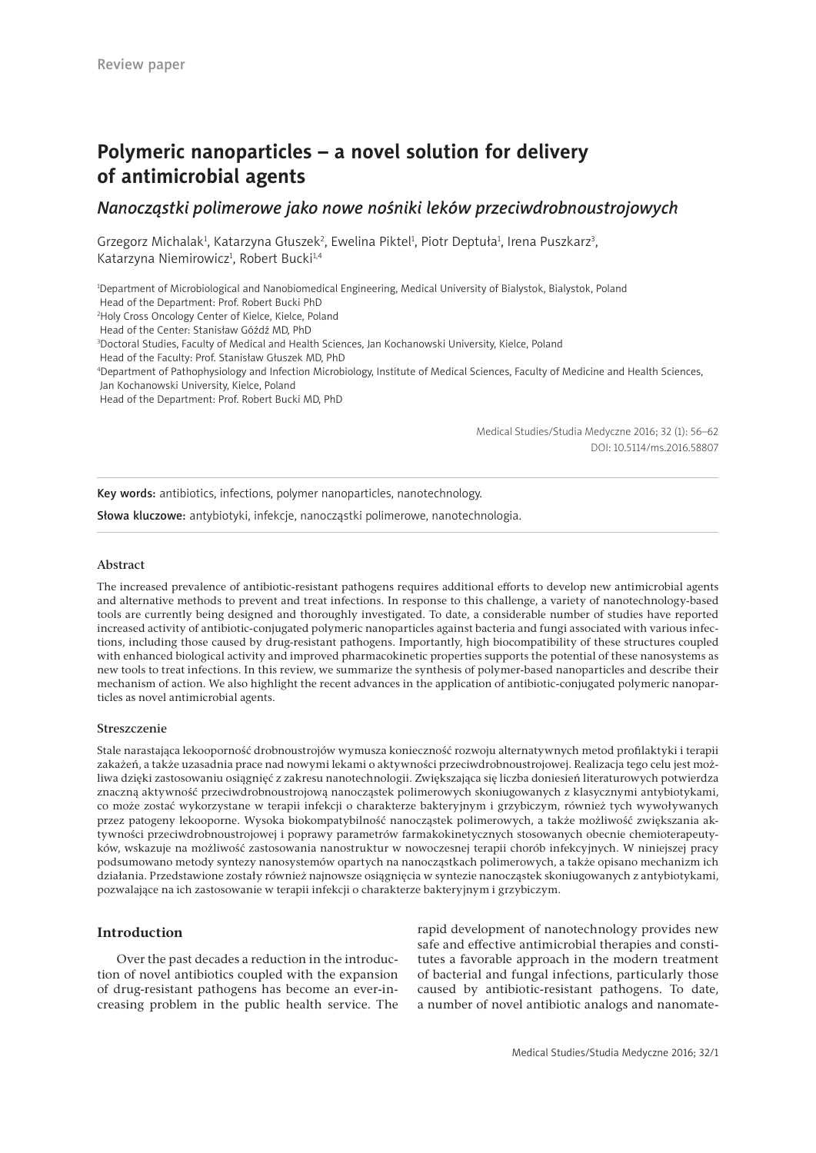# **Polymeric nanoparticles – a novel solution for delivery of antimicrobial agents**

## *Nanocząstki polimerowe jako nowe nośniki leków przeciwdrobnoustrojowych*

Grzegorz Michalak<sup>1</sup>, Katarzyna Głuszek<sup>2</sup>, Ewelina Piktel<sup>1</sup>, Piotr Deptuła<sup>1</sup>, Irena Puszkarz<sup>3</sup>, Katarzyna Niemirowicz<sup>1</sup>, Robert Bucki<sup>1,4</sup>

1 Department of Microbiological and Nanobiomedical Engineering, Medical University of Bialystok, Bialystok, Poland Head of the Department: Prof. Robert Bucki PhD 2 Holy Cross Oncology Center of Kielce, Kielce, Poland Head of the Center: Stanisław Góźdź MD, PhD 3 Doctoral Studies, Faculty of Medical and Health Sciences, Jan Kochanowski University, Kielce, Poland Head of the Faculty: Prof. Stanisław Głuszek MD, PhD 4 Department of Pathophysiology and Infection Microbiology, Institute of Medical Sciences, Faculty of Medicine and Health Sciences, Jan Kochanowski University, Kielce, Poland

Head of the Department: Prof. Robert Bucki MD, PhD

Medical Studies/Studia Medyczne 2016; 32 (1): 56–62 DOI: 10.5114/ms.2016.58807

Key words: antibiotics, infections, polymer nanoparticles, nanotechnology.

Słowa kluczowe: antybiotyki, infekcje, nanocząstki polimerowe, nanotechnologia.

## Abstract

The increased prevalence of antibiotic-resistant pathogens requires additional efforts to develop new antimicrobial agents and alternative methods to prevent and treat infections. In response to this challenge, a variety of nanotechnology-based tools are currently being designed and thoroughly investigated. To date, a considerable number of studies have reported increased activity of antibiotic-conjugated polymeric nanoparticles against bacteria and fungi associated with various infections, including those caused by drug-resistant pathogens. Importantly, high biocompatibility of these structures coupled with enhanced biological activity and improved pharmacokinetic properties supports the potential of these nanosystems as new tools to treat infections. In this review, we summarize the synthesis of polymer-based nanoparticles and describe their mechanism of action. We also highlight the recent advances in the application of antibiotic-conjugated polymeric nanoparticles as novel antimicrobial agents.

#### Streszczenie

Stale narastająca lekooporność drobnoustrojów wymusza konieczność rozwoju alternatywnych metod profilaktyki i terapii zakażeń, a także uzasadnia prace nad nowymi lekami o aktywności przeciwdrobnoustrojowej. Realizacja tego celu jest możliwa dzięki zastosowaniu osiągnięć z zakresu nanotechnologii. Zwiększająca się liczba doniesień literaturowych potwierdza znaczną aktywność przeciwdrobnoustrojową nanocząstek polimerowych skoniugowanych z klasycznymi antybiotykami, co może zostać wykorzystane w terapii infekcji o charakterze bakteryjnym i grzybiczym, również tych wywoływanych przez patogeny lekooporne. Wysoka biokompatybilność nanocząstek polimerowych, a także możliwość zwiększania aktywności przeciwdrobnoustrojowej i poprawy parametrów farmakokinetycznych stosowanych obecnie chemioterapeutyków, wskazuje na możliwość zastosowania nanostruktur w nowoczesnej terapii chorób infekcyjnych. W niniejszej pracy podsumowano metody syntezy nanosystemów opartych na nanocząstkach polimerowych, a także opisano mechanizm ich działania. Przedstawione zostały również najnowsze osiągnięcia w syntezie nanocząstek skoniugowanych z antybiotykami, pozwalające na ich zastosowanie w terapii infekcji o charakterze bakteryjnym i grzybiczym.

## **Introduction**

Over the past decades a reduction in the introduction of novel antibiotics coupled with the expansion of drug-resistant pathogens has become an ever-increasing problem in the public health service. The rapid development of nanotechnology provides new safe and effective antimicrobial therapies and constitutes a favorable approach in the modern treatment of bacterial and fungal infections, particularly those caused by antibiotic-resistant pathogens. To date, a number of novel antibiotic analogs and nanomate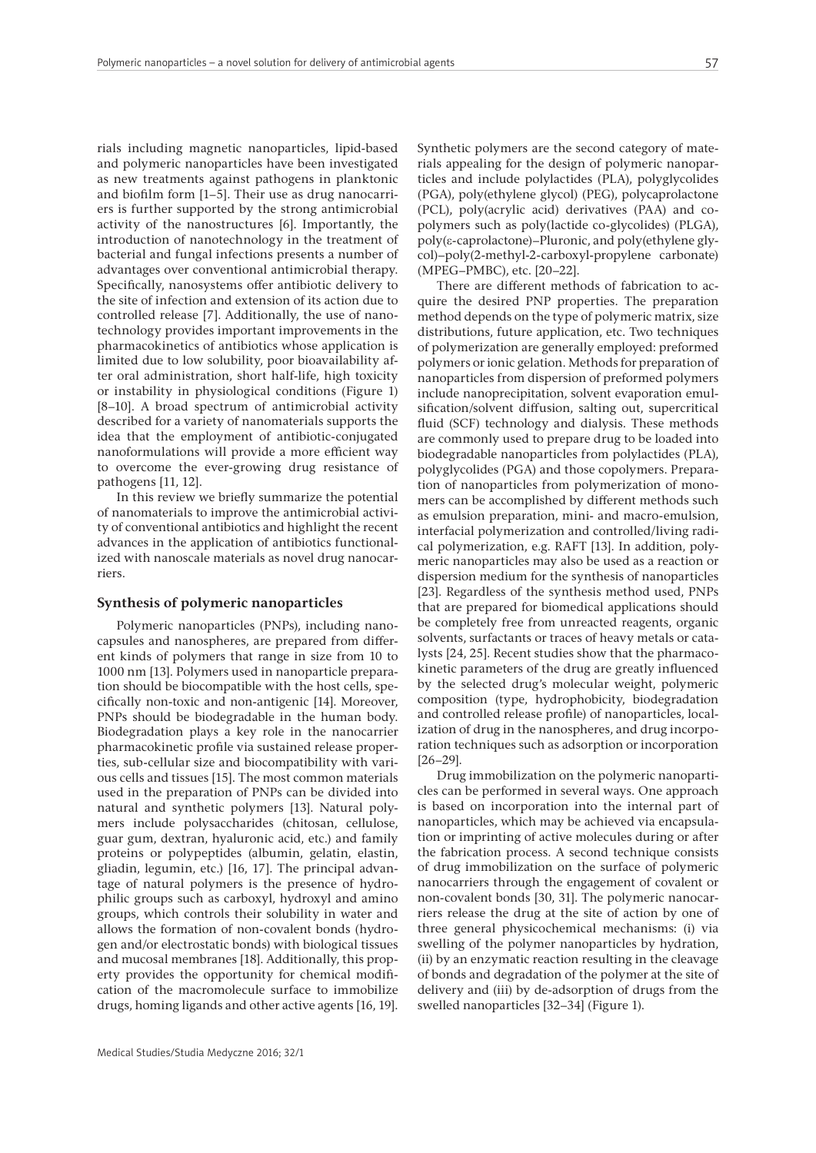rials including magnetic nanoparticles, lipid-based and polymeric nanoparticles have been investigated as new treatments against pathogens in planktonic and biofilm form [1–5]. Their use as drug nanocarriers is further supported by the strong antimicrobial activity of the nanostructures [6]. Importantly, the introduction of nanotechnology in the treatment of bacterial and fungal infections presents a number of advantages over conventional antimicrobial therapy. Specifically, nanosystems offer antibiotic delivery to the site of infection and extension of its action due to controlled release [7]. Additionally, the use of nanotechnology provides important improvements in the pharmacokinetics of antibiotics whose application is limited due to low solubility, poor bioavailability after oral administration, short half-life, high toxicity or instability in physiological conditions (Figure 1) [8–10]. A broad spectrum of antimicrobial activity described for a variety of nanomaterials supports the idea that the employment of antibiotic-conjugated nanoformulations will provide a more efficient way to overcome the ever-growing drug resistance of pathogens [11, 12].

In this review we briefly summarize the potential of nanomaterials to improve the antimicrobial activity of conventional antibiotics and highlight the recent advances in the application of antibiotics functionalized with nanoscale materials as novel drug nanocarriers.

#### **Synthesis of polymeric nanoparticles**

Polymeric nanoparticles (PNPs), including nanocapsules and nanospheres, are prepared from different kinds of polymers that range in size from 10 to 1000 nm [13]. Polymers used in nanoparticle preparation should be biocompatible with the host cells, specifically non-toxic and non-antigenic [14]. Moreover, PNPs should be biodegradable in the human body. Biodegradation plays a key role in the nanocarrier pharmacokinetic profile via sustained release properties, sub-cellular size and biocompatibility with various cells and tissues [15]. The most common materials used in the preparation of PNPs can be divided into natural and synthetic polymers [13]. Natural polymers include polysaccharides (chitosan, cellulose, guar gum, dextran, hyaluronic acid, etc.) and family proteins or polypeptides (albumin, gelatin, elastin, gliadin, legumin, etc.) [16, 17]. The principal advantage of natural polymers is the presence of hydrophilic groups such as carboxyl, hydroxyl and amino groups, which controls their solubility in water and allows the formation of non-covalent bonds (hydrogen and/or electrostatic bonds) with biological tissues and mucosal membranes [18]. Additionally, this property provides the opportunity for chemical modification of the macromolecule surface to immobilize drugs, homing ligands and other active agents [16, 19]. Synthetic polymers are the second category of materials appealing for the design of polymeric nanoparticles and include polylactides (PLA), polyglycolides (PGA), poly(ethylene glycol) (PEG), polycaprolactone (PCL), poly(acrylic acid) derivatives (PAA) and copolymers such as poly(lactide co-glycolides) (PLGA), poly(ε-caprolactone)–Pluronic, and poly(ethylene glycol)–poly(2-methyl-2-carboxyl-propylene carbonate) (MPEG–PMBC), etc. [20–22].

There are different methods of fabrication to acquire the desired PNP properties. The preparation method depends on the type of polymeric matrix, size distributions, future application, etc. Two techniques of polymerization are generally employed: preformed polymers or ionic gelation. Methods for preparation of nanoparticles from dispersion of preformed polymers include nanoprecipitation, solvent evaporation emulsification/solvent diffusion, salting out, supercritical fluid (SCF) technology and dialysis. These methods are commonly used to prepare drug to be loaded into biodegradable nanoparticles from polylactides (PLA), polyglycolides (PGA) and those copolymers. Preparation of nanoparticles from polymerization of monomers can be accomplished by different methods such as emulsion preparation, mini- and macro-emulsion, interfacial polymerization and controlled/living radical polymerization, e.g. RAFT [13]. In addition, polymeric nanoparticles may also be used as a reaction or dispersion medium for the synthesis of nanoparticles [23]. Regardless of the synthesis method used, PNPs that are prepared for biomedical applications should be completely free from unreacted reagents, organic solvents, surfactants or traces of heavy metals or catalysts [24, 25]. Recent studies show that the pharmacokinetic parameters of the drug are greatly influenced by the selected drug's molecular weight, polymeric composition (type, hydrophobicity, biodegradation and controlled release profile) of nanoparticles, localization of drug in the nanospheres, and drug incorporation techniques such as adsorption or incorporation [26–29].

Drug immobilization on the polymeric nanoparticles can be performed in several ways. One approach is based on incorporation into the internal part of nanoparticles, which may be achieved via encapsulation or imprinting of active molecules during or after the fabrication process. A second technique consists of drug immobilization on the surface of polymeric nanocarriers through the engagement of covalent or non-covalent bonds [30, 31]. The polymeric nanocarriers release the drug at the site of action by one of three general physicochemical mechanisms: (i) via swelling of the polymer nanoparticles by hydration, (ii) by an enzymatic reaction resulting in the cleavage of bonds and degradation of the polymer at the site of delivery and (iii) by de-adsorption of drugs from the swelled nanoparticles [32–34] (Figure 1).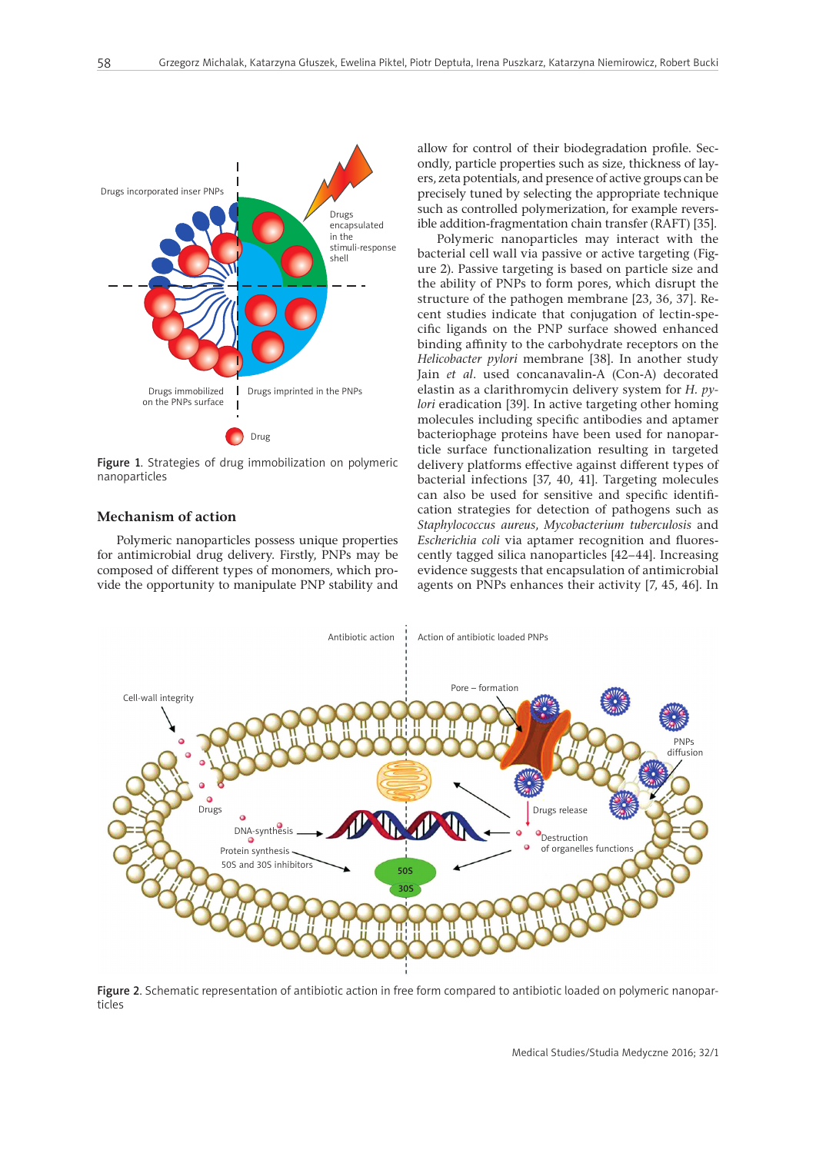

Figure 1. Strategies of drug immobilization on polymeric nanoparticles

## **Mechanism of action**

Polymeric nanoparticles possess unique properties for antimicrobial drug delivery. Firstly, PNPs may be composed of different types of monomers, which provide the opportunity to manipulate PNP stability and allow for control of their biodegradation profile. Secondly, particle properties such as size, thickness of layers, zeta potentials, and presence of active groups can be precisely tuned by selecting the appropriate technique such as controlled polymerization, for example reversible addition-fragmentation chain transfer (RAFT) [35].

Polymeric nanoparticles may interact with the bacterial cell wall via passive or active targeting (Figure 2). Passive targeting is based on particle size and the ability of PNPs to form pores, which disrupt the structure of the pathogen membrane [23, 36, 37]. Recent studies indicate that conjugation of lectin-specific ligands on the PNP surface showed enhanced binding affinity to the carbohydrate receptors on the *Helicobacter pylori* membrane [38]. In another study Jain *et al*. used concanavalin-A (Con-A) decorated elastin as a clarithromycin delivery system for *H. pylori* eradication [39]. In active targeting other homing molecules including specific antibodies and aptamer bacteriophage proteins have been used for nanoparticle surface functionalization resulting in targeted delivery platforms effective against different types of bacterial infections [37, 40, 41]. Targeting molecules can also be used for sensitive and specific identification strategies for detection of pathogens such as *Staphylococcus aureus*, *Mycobacterium tuberculosis* and *Escherichia coli* via aptamer recognition and fluorescently tagged silica nanoparticles [42–44]. Increasing evidence suggests that encapsulation of antimicrobial agents on PNPs enhances their activity [7, 45, 46]. In



Figure 2. Schematic representation of antibiotic action in free form compared to antibiotic loaded on polymeric nanoparticles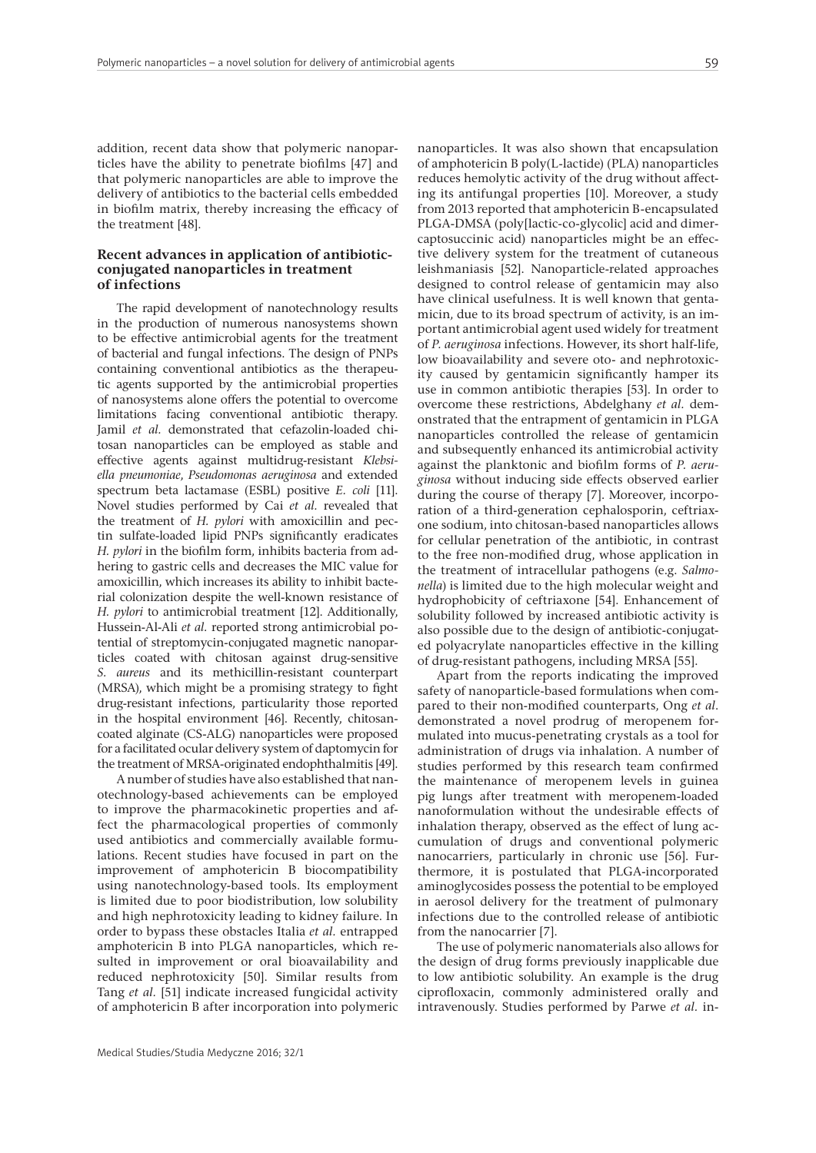addition, recent data show that polymeric nanoparticles have the ability to penetrate biofilms [47] and that polymeric nanoparticles are able to improve the delivery of antibiotics to the bacterial cells embedded in biofilm matrix, thereby increasing the efficacy of the treatment [48].

## **Recent advances in application of antibioticconjugated nanoparticles in treatment of infections**

The rapid development of nanotechnology results in the production of numerous nanosystems shown to be effective antimicrobial agents for the treatment of bacterial and fungal infections. The design of PNPs containing conventional antibiotics as the therapeutic agents supported by the antimicrobial properties of nanosystems alone offers the potential to overcome limitations facing conventional antibiotic therapy. Jamil *et al.* demonstrated that cefazolin-loaded chitosan nanoparticles can be employed as stable and effective agents against multidrug-resistant *Klebsiella pneumoniae*, *Pseudomonas aeruginosa* and extended spectrum beta lactamase (ESBL) positive *E. coli* [11]. Novel studies performed by Cai *et al.* revealed that the treatment of *H. pylori* with amoxicillin and pectin sulfate-loaded lipid PNPs significantly eradicates *H. pylori* in the biofilm form, inhibits bacteria from adhering to gastric cells and decreases the MIC value for amoxicillin, which increases its ability to inhibit bacterial colonization despite the well-known resistance of *H. pylori* to antimicrobial treatment [12]. Additionally, Hussein-Al-Ali *et al.* reported strong antimicrobial potential of streptomycin-conjugated magnetic nanoparticles coated with chitosan against drug-sensitive *S. aureus* and its methicillin-resistant counterpart (MRSA), which might be a promising strategy to fight drug-resistant infections, particularity those reported in the hospital environment [46]. Recently, chitosancoated alginate (CS-ALG) nanoparticles were proposed for a facilitated ocular delivery system of daptomycin for the treatment of MRSA-originated endophthalmitis [49].

A number of studies have also established that nanotechnology-based achievements can be employed to improve the pharmacokinetic properties and affect the pharmacological properties of commonly used antibiotics and commercially available formulations. Recent studies have focused in part on the improvement of amphotericin B biocompatibility using nanotechnology-based tools. Its employment is limited due to poor biodistribution, low solubility and high nephrotoxicity leading to kidney failure. In order to bypass these obstacles Italia *et al.* entrapped amphotericin B into PLGA nanoparticles, which resulted in improvement or oral bioavailability and reduced nephrotoxicity [50]. Similar results from Tang *et al.* [51] indicate increased fungicidal activity of amphotericin B after incorporation into polymeric

nanoparticles. It was also shown that encapsulation of amphotericin B poly(L-lactide) (PLA) nanoparticles reduces hemolytic activity of the drug without affecting its antifungal properties [10]. Moreover, a study from 2013 reported that amphotericin B-encapsulated PLGA-DMSA (poly[lactic-co-glycolic] acid and dimercaptosuccinic acid) nanoparticles might be an effective delivery system for the treatment of cutaneous leishmaniasis [52]. Nanoparticle-related approaches designed to control release of gentamicin may also have clinical usefulness. It is well known that gentamicin, due to its broad spectrum of activity, is an important antimicrobial agent used widely for treatment of *P. aeruginosa* infections. However, its short half-life, low bioavailability and severe oto- and nephrotoxicity caused by gentamicin significantly hamper its use in common antibiotic therapies [53]. In order to overcome these restrictions, Abdelghany *et al.* demonstrated that the entrapment of gentamicin in PLGA nanoparticles controlled the release of gentamicin and subsequently enhanced its antimicrobial activity against the planktonic and biofilm forms of *P. aeruginosa* without inducing side effects observed earlier during the course of therapy [7]. Moreover, incorporation of a third-generation cephalosporin, ceftriaxone sodium, into chitosan-based nanoparticles allows for cellular penetration of the antibiotic, in contrast to the free non-modified drug, whose application in the treatment of intracellular pathogens (e.g. *Salmonella*) is limited due to the high molecular weight and hydrophobicity of ceftriaxone [54]. Enhancement of solubility followed by increased antibiotic activity is also possible due to the design of antibiotic-conjugated polyacrylate nanoparticles effective in the killing of drug-resistant pathogens, including MRSA [55].

Apart from the reports indicating the improved safety of nanoparticle-based formulations when compared to their non-modified counterparts, Ong *et al*. demonstrated a novel prodrug of meropenem formulated into mucus-penetrating crystals as a tool for administration of drugs via inhalation. A number of studies performed by this research team confirmed the maintenance of meropenem levels in guinea pig lungs after treatment with meropenem-loaded nanoformulation without the undesirable effects of inhalation therapy, observed as the effect of lung accumulation of drugs and conventional polymeric nanocarriers, particularly in chronic use [56]. Furthermore, it is postulated that PLGA-incorporated aminoglycosides possess the potential to be employed in aerosol delivery for the treatment of pulmonary infections due to the controlled release of antibiotic from the nanocarrier [7].

The use of polymeric nanomaterials also allows for the design of drug forms previously inapplicable due to low antibiotic solubility. An example is the drug ciprofloxacin, commonly administered orally and intravenously. Studies performed by Parwe *et al.* in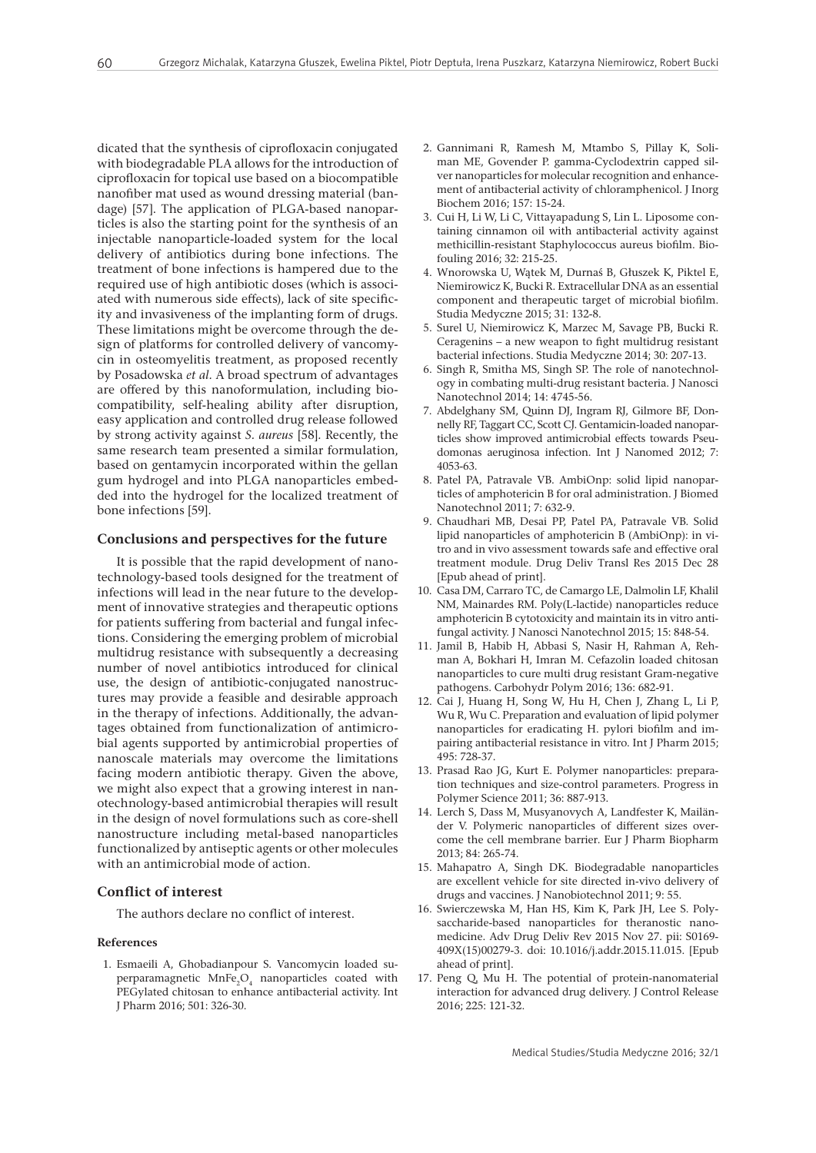dicated that the synthesis of ciprofloxacin conjugated with biodegradable PLA allows for the introduction of ciprofloxacin for topical use based on a biocompatible nanofiber mat used as wound dressing material (bandage) [57]. The application of PLGA-based nanoparticles is also the starting point for the synthesis of an injectable nanoparticle-loaded system for the local delivery of antibiotics during bone infections. The treatment of bone infections is hampered due to the required use of high antibiotic doses (which is associated with numerous side effects), lack of site specificity and invasiveness of the implanting form of drugs. These limitations might be overcome through the design of platforms for controlled delivery of vancomycin in osteomyelitis treatment, as proposed recently by Posadowska *et al.* A broad spectrum of advantages are offered by this nanoformulation, including biocompatibility, self-healing ability after disruption, easy application and controlled drug release followed by strong activity against *S. aureus* [58]*.* Recently, the same research team presented a similar formulation, based on gentamycin incorporated within the gellan gum hydrogel and into PLGA nanoparticles embedded into the hydrogel for the localized treatment of bone infections [59].

## **Conclusions and perspectives for the future**

It is possible that the rapid development of nanotechnology-based tools designed for the treatment of infections will lead in the near future to the development of innovative strategies and therapeutic options for patients suffering from bacterial and fungal infections. Considering the emerging problem of microbial multidrug resistance with subsequently a decreasing number of novel antibiotics introduced for clinical use, the design of antibiotic-conjugated nanostructures may provide a feasible and desirable approach in the therapy of infections. Additionally, the advantages obtained from functionalization of antimicrobial agents supported by antimicrobial properties of nanoscale materials may overcome the limitations facing modern antibiotic therapy. Given the above, we might also expect that a growing interest in nanotechnology-based antimicrobial therapies will result in the design of novel formulations such as core-shell nanostructure including metal-based nanoparticles functionalized by antiseptic agents or other molecules with an antimicrobial mode of action.

## **Conflict of interest**

The authors declare no conflict of interest.

#### **References**

1. Esmaeili A, Ghobadianpour S. Vancomycin loaded superparamagnetic  $MnFe<sub>2</sub>O<sub>4</sub>$  nanoparticles coated with PEGylated chitosan to enhance antibacterial activity. Int J Pharm 2016; 501: 326-30.

- 2. Gannimani R, Ramesh M, Mtambo S, Pillay K, Soliman ME, Govender P. gamma-Cyclodextrin capped silver nanoparticles for molecular recognition and enhancement of antibacterial activity of chloramphenicol. J Inorg Biochem 2016; 157: 15-24.
- 3. Cui H, Li W, Li C, Vittayapadung S, Lin L. Liposome containing cinnamon oil with antibacterial activity against methicillin-resistant Staphylococcus aureus biofilm. Biofouling 2016; 32: 215-25.
- 4. Wnorowska U, Wątek M, Durnaś B, Głuszek K, Piktel E, Niemirowicz K, Bucki R. Extracellular DNA as an essential component and therapeutic target of microbial biofilm. Studia Medyczne 2015; 31: 132-8.
- 5. Surel U, Niemirowicz K, Marzec M, Savage PB, Bucki R. Ceragenins – a new weapon to fight multidrug resistant bacterial infections. Studia Medyczne 2014; 30: 207-13.
- 6. Singh R, Smitha MS, Singh SP. The role of nanotechnology in combating multi-drug resistant bacteria. J Nanosci Nanotechnol 2014; 14: 4745-56.
- 7. Abdelghany SM, Quinn DJ, Ingram RJ, Gilmore BF, Donnelly RF, Taggart CC, Scott CJ. Gentamicin-loaded nanoparticles show improved antimicrobial effects towards Pseudomonas aeruginosa infection. Int J Nanomed 2012; 7: 4053-63.
- 8. Patel PA, Patravale VB. AmbiOnp: solid lipid nanoparticles of amphotericin B for oral administration. J Biomed Nanotechnol 2011; 7: 632-9.
- 9. Chaudhari MB, Desai PP, Patel PA, Patravale VB. Solid lipid nanoparticles of amphotericin B (AmbiOnp): in vitro and in vivo assessment towards safe and effective oral treatment module. Drug Deliv Transl Res 2015 Dec 28 [Epub ahead of print].
- 10. Casa DM, Carraro TC, de Camargo LE, Dalmolin LF, Khalil NM, Mainardes RM. Poly(L-lactide) nanoparticles reduce amphotericin B cytotoxicity and maintain its in vitro antifungal activity. J Nanosci Nanotechnol 2015; 15: 848-54.
- 11. Jamil B, Habib H, Abbasi S, Nasir H, Rahman A, Rehman A, Bokhari H, Imran M. Cefazolin loaded chitosan nanoparticles to cure multi drug resistant Gram-negative pathogens. Carbohydr Polym 2016; 136: 682-91.
- 12. Cai J, Huang H, Song W, Hu H, Chen J, Zhang L, Li P, Wu R, Wu C. Preparation and evaluation of lipid polymer nanoparticles for eradicating H. pylori biofilm and impairing antibacterial resistance in vitro. Int J Pharm 2015; 495: 728-37.
- 13. Prasad Rao JG, Kurt E. Polymer nanoparticles: preparation techniques and size-control parameters. Progress in Polymer Science 2011; 36: 887-913.
- 14. Lerch S, Dass M, Musyanovych A, Landfester K, Mailänder V. Polymeric nanoparticles of different sizes overcome the cell membrane barrier. Eur J Pharm Biopharm 2013; 84: 265-74.
- 15. Mahapatro A, Singh DK. Biodegradable nanoparticles are excellent vehicle for site directed in-vivo delivery of drugs and vaccines. J Nanobiotechnol 2011; 9: 55.
- 16. Swierczewska M, Han HS, Kim K, Park JH, Lee S. Polysaccharide-based nanoparticles for theranostic nanomedicine. Adv Drug Deliv Rev 2015 Nov 27. pii: S0169- 409X(15)00279-3. doi: 10.1016/j.addr.2015.11.015. [Epub ahead of print].
- 17. Peng Q, Mu H. The potential of protein-nanomaterial interaction for advanced drug delivery. J Control Release 2016; 225: 121-32.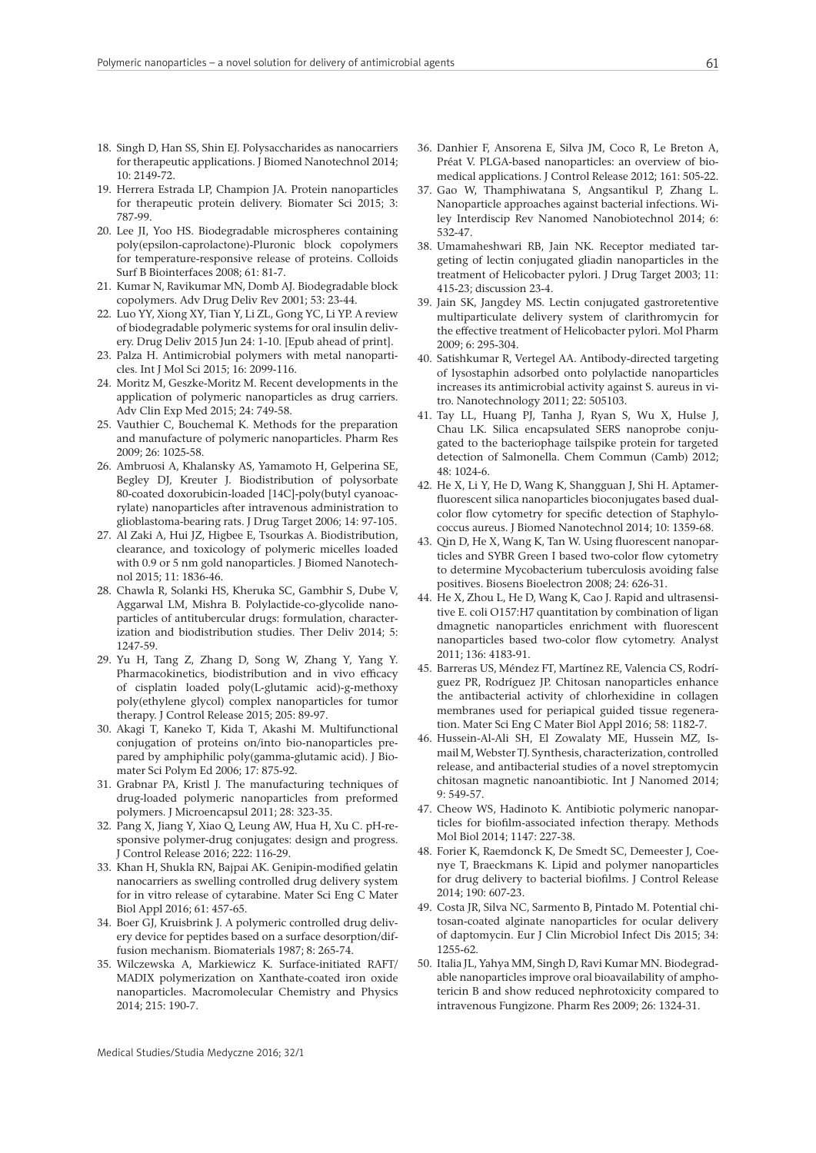- 18. Singh D, Han SS, Shin EJ. Polysaccharides as nanocarriers for therapeutic applications. J Biomed Nanotechnol 2014; 10: 2149-72.
- 19. Herrera Estrada LP, Champion JA. Protein nanoparticles for therapeutic protein delivery. Biomater Sci 2015; 3: 787-99.
- 20. Lee JI, Yoo HS. Biodegradable microspheres containing poly(epsilon-caprolactone)-Pluronic block copolymers for temperature-responsive release of proteins. Colloids Surf B Biointerfaces 2008; 61: 81-7.
- 21. Kumar N, Ravikumar MN, Domb AJ. Biodegradable block copolymers. Adv Drug Deliv Rev 2001; 53: 23-44.
- 22. Luo YY, Xiong XY, Tian Y, Li ZL, Gong YC, Li YP. A review of biodegradable polymeric systems for oral insulin delivery. Drug Deliv 2015 Jun 24: 1-10. [Epub ahead of print].
- 23. Palza H. Antimicrobial polymers with metal nanoparticles. Int J Mol Sci 2015; 16: 2099-116.
- 24. Moritz M, Geszke-Moritz M. Recent developments in the application of polymeric nanoparticles as drug carriers. Adv Clin Exp Med 2015; 24: 749-58.
- 25. Vauthier C, Bouchemal K. Methods for the preparation and manufacture of polymeric nanoparticles. Pharm Res 2009; 26: 1025-58.
- 26. Ambruosi A, Khalansky AS, Yamamoto H, Gelperina SE, Begley DJ, Kreuter J. Biodistribution of polysorbate 80-coated doxorubicin-loaded [14C]-poly(butyl cyanoacrylate) nanoparticles after intravenous administration to glioblastoma-bearing rats. J Drug Target 2006; 14: 97-105.
- 27. Al Zaki A, Hui JZ, Higbee E, Tsourkas A. Biodistribution, clearance, and toxicology of polymeric micelles loaded with 0.9 or 5 nm gold nanoparticles. J Biomed Nanotechnol 2015; 11: 1836-46.
- 28. Chawla R, Solanki HS, Kheruka SC, Gambhir S, Dube V, Aggarwal LM, Mishra B. Polylactide-co-glycolide nanoparticles of antitubercular drugs: formulation, characterization and biodistribution studies. Ther Deliv 2014; 5: 1247-59.
- 29. Yu H, Tang Z, Zhang D, Song W, Zhang Y, Yang Y. Pharmacokinetics, biodistribution and in vivo efficacy of cisplatin loaded poly(L-glutamic acid)-g-methoxy poly(ethylene glycol) complex nanoparticles for tumor therapy. J Control Release 2015; 205: 89-97.
- 30. Akagi T, Kaneko T, Kida T, Akashi M. Multifunctional conjugation of proteins on/into bio-nanoparticles prepared by amphiphilic poly(gamma-glutamic acid). J Biomater Sci Polym Ed 2006; 17: 875-92.
- 31. Grabnar PA, Kristl J. The manufacturing techniques of drug-loaded polymeric nanoparticles from preformed polymers. J Microencapsul 2011; 28: 323-35.
- 32. Pang X, Jiang Y, Xiao Q, Leung AW, Hua H, Xu C. pH-responsive polymer-drug conjugates: design and progress. J Control Release 2016; 222: 116-29.
- 33. Khan H, Shukla RN, Bajpai AK. Genipin-modified gelatin nanocarriers as swelling controlled drug delivery system for in vitro release of cytarabine. Mater Sci Eng C Mater Biol Appl 2016; 61: 457-65.
- 34. Boer GJ, Kruisbrink J. A polymeric controlled drug delivery device for peptides based on a surface desorption/diffusion mechanism. Biomaterials 1987; 8: 265-74.
- 35. Wilczewska A, Markiewicz K. Surface-initiated RAFT/ MADIX polymerization on Xanthate-coated iron oxide nanoparticles. Macromolecular Chemistry and Physics 2014; 215: 190-7.
- 36. Danhier F, Ansorena E, Silva JM, Coco R, Le Breton A, Préat V. PLGA-based nanoparticles: an overview of biomedical applications. J Control Release 2012; 161: 505-22.
- 37. Gao W, Thamphiwatana S, Angsantikul P, Zhang L. Nanoparticle approaches against bacterial infections. Wiley Interdiscip Rev Nanomed Nanobiotechnol 2014; 6: 532-47.
- 38. Umamaheshwari RB, Jain NK. Receptor mediated targeting of lectin conjugated gliadin nanoparticles in the treatment of Helicobacter pylori. J Drug Target 2003; 11: 415-23; discussion 23-4.
- 39. Jain SK, Jangdey MS. Lectin conjugated gastroretentive multiparticulate delivery system of clarithromycin for the effective treatment of Helicobacter pylori. Mol Pharm 2009; 6: 295-304.
- 40. Satishkumar R, Vertegel AA. Antibody-directed targeting of lysostaphin adsorbed onto polylactide nanoparticles increases its antimicrobial activity against S. aureus in vitro. Nanotechnology 2011; 22: 505103.
- 41. Tay LL, Huang PJ, Tanha J, Ryan S, Wu X, Hulse J, Chau LK. Silica encapsulated SERS nanoprobe conjugated to the bacteriophage tailspike protein for targeted detection of Salmonella. Chem Commun (Camb) 2012; 48: 1024-6.
- 42. He X, Li Y, He D, Wang K, Shangguan J, Shi H. Aptamerfluorescent silica nanoparticles bioconjugates based dualcolor flow cytometry for specific detection of Staphylococcus aureus. J Biomed Nanotechnol 2014; 10: 1359-68.
- 43. Qin D, He X, Wang K, Tan W. Using fluorescent nanoparticles and SYBR Green I based two-color flow cytometry to determine Mycobacterium tuberculosis avoiding false positives. Biosens Bioelectron 2008; 24: 626-31.
- 44. He X, Zhou L, He D, Wang K, Cao J. Rapid and ultrasensitive E. coli O157:H7 quantitation by combination of ligan dmagnetic nanoparticles enrichment with fluorescent nanoparticles based two-color flow cytometry. Analyst 2011; 136: 4183-91.
- 45. Barreras US, Méndez FT, Martínez RE, Valencia CS, Rodríguez PR, Rodríguez JP. Chitosan nanoparticles enhance the antibacterial activity of chlorhexidine in collagen membranes used for periapical guided tissue regeneration. Mater Sci Eng C Mater Biol Appl 2016; 58: 1182-7.
- 46. Hussein-Al-Ali SH, El Zowalaty ME, Hussein MZ, Ismail M, Webster TJ. Synthesis, characterization, controlled release, and antibacterial studies of a novel streptomycin chitosan magnetic nanoantibiotic. Int J Nanomed 2014; 9: 549-57.
- 47. Cheow WS, Hadinoto K. Antibiotic polymeric nanoparticles for biofilm-associated infection therapy. Methods Mol Biol 2014; 1147: 227-38.
- 48. Forier K, Raemdonck K, De Smedt SC, Demeester J, Coenye T, Braeckmans K. Lipid and polymer nanoparticles for drug delivery to bacterial biofilms. J Control Release 2014; 190: 607-23.
- 49. Costa JR, Silva NC, Sarmento B, Pintado M. Potential chitosan-coated alginate nanoparticles for ocular delivery of daptomycin. Eur J Clin Microbiol Infect Dis 2015; 34: 1255-62.
- 50. Italia JL, Yahya MM, Singh D, Ravi Kumar MN. Biodegradable nanoparticles improve oral bioavailability of amphotericin B and show reduced nephrotoxicity compared to intravenous Fungizone. Pharm Res 2009; 26: 1324-31.